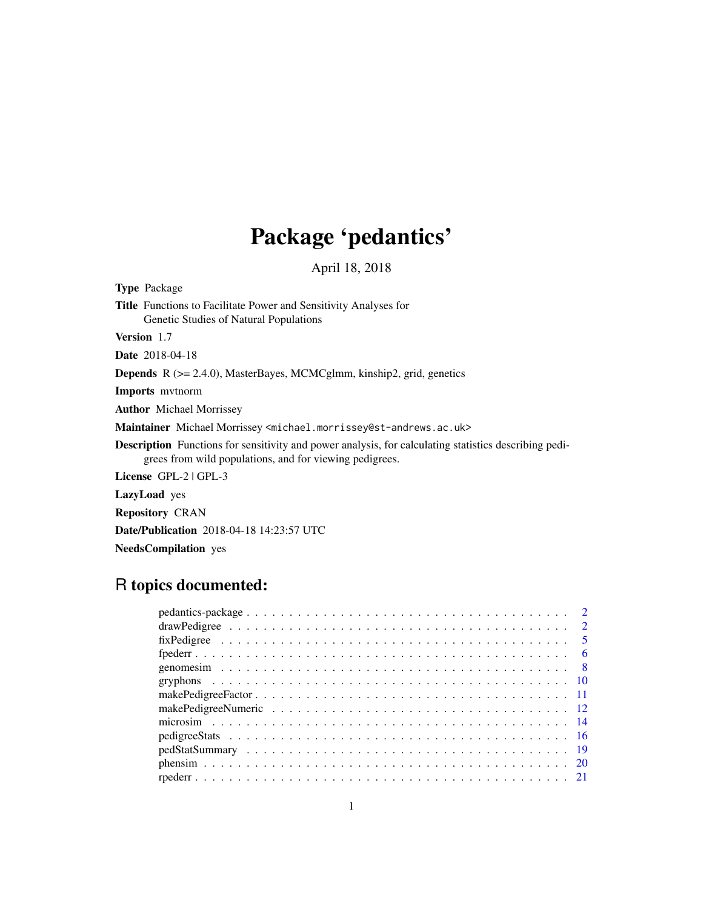# Package 'pedantics'

April 18, 2018

Type Package

Title Functions to Facilitate Power and Sensitivity Analyses for Genetic Studies of Natural Populations

Version 1.7

Date 2018-04-18

Depends R (>= 2.4.0), MasterBayes, MCMCglmm, kinship2, grid, genetics

Imports mvtnorm

Author Michael Morrissey

Maintainer Michael Morrissey <michael.morrissey@st-andrews.ac.uk>

Description Functions for sensitivity and power analysis, for calculating statistics describing pedigrees from wild populations, and for viewing pedigrees.

License GPL-2 | GPL-3

LazyLoad yes

Repository CRAN

Date/Publication 2018-04-18 14:23:57 UTC

NeedsCompilation yes

# R topics documented: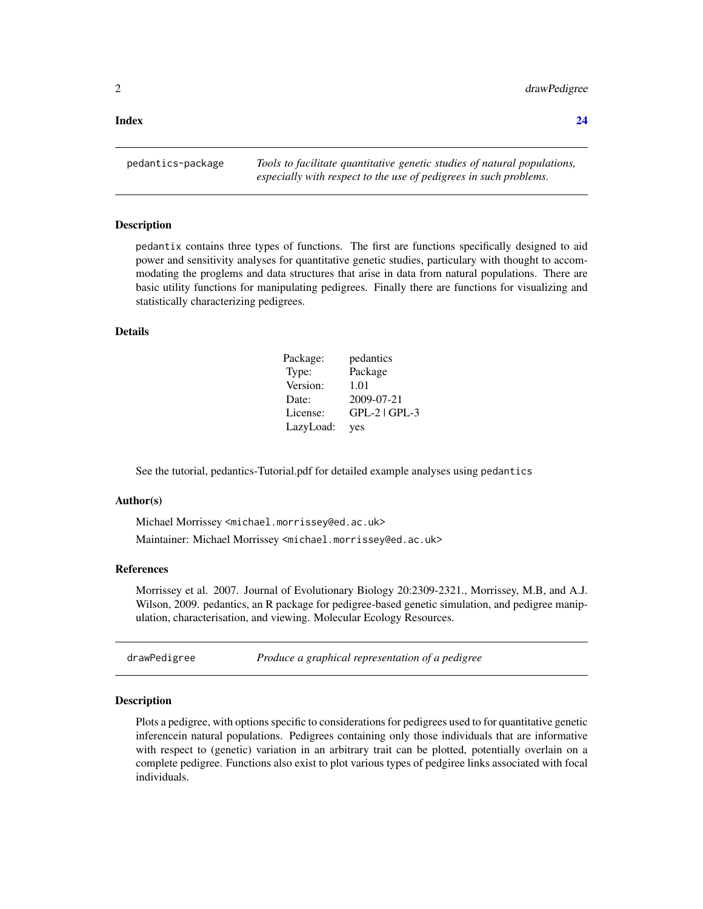<span id="page-1-0"></span>**Index** [24](#page-23-0)

pedantics-package *Tools to facilitate quantitative genetic studies of natural populations, especially with respect to the use of pedigrees in such problems.*

#### Description

pedantix contains three types of functions. The first are functions specifically designed to aid power and sensitivity analyses for quantitative genetic studies, particulary with thought to accommodating the proglems and data structures that arise in data from natural populations. There are basic utility functions for manipulating pedigrees. Finally there are functions for visualizing and statistically characterizing pedigrees.

# Details

| Package:  | pedantics         |
|-----------|-------------------|
| Type:     | Package           |
| Version:  | 1.01              |
| Date:     | 2009-07-21        |
| License:  | $GPL-2$   $GPL-3$ |
| LazyLoad: | yes               |

See the tutorial, pedantics-Tutorial.pdf for detailed example analyses using pedantics

#### Author(s)

Michael Morrissey <michael.morrissey@ed.ac.uk> Maintainer: Michael Morrissey <michael.morrissey@ed.ac.uk>

# References

Morrissey et al. 2007. Journal of Evolutionary Biology 20:2309-2321., Morrissey, M.B, and A.J. Wilson, 2009. pedantics, an R package for pedigree-based genetic simulation, and pedigree manipulation, characterisation, and viewing. Molecular Ecology Resources.

| drawPedigree | Produce a graphical representation of a pedigree |  |  |
|--------------|--------------------------------------------------|--|--|
|--------------|--------------------------------------------------|--|--|

# **Description**

Plots a pedigree, with options specific to considerations for pedigrees used to for quantitative genetic inferencein natural populations. Pedigrees containing only those individuals that are informative with respect to (genetic) variation in an arbitrary trait can be plotted, potentially overlain on a complete pedigree. Functions also exist to plot various types of pedgiree links associated with focal individuals.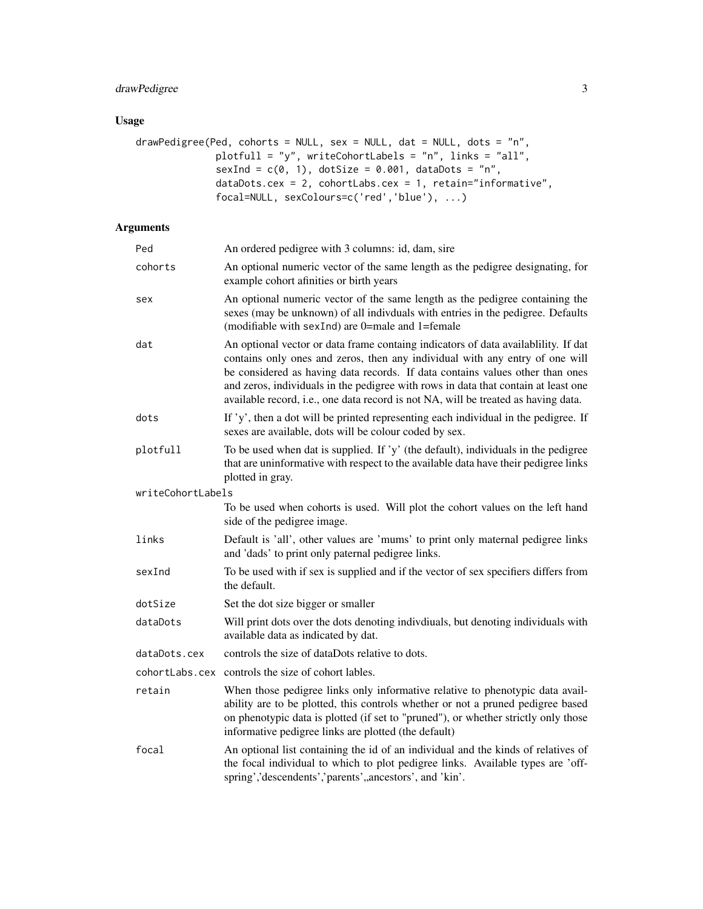# drawPedigree 3

# Usage

```
drawPedigree(Ped, cohorts = NULL, sex = NULL, dat = NULL, dots = "n",
              plotfull = "y", writeCohortLabels = "n", links = "all",
              sexInd = c(0, 1), dotSize = 0.001, dataDots = "n",dataDots.cex = 2, cohortLabs.cex = 1, retain="informative",
              focal=NULL, sexColours=c('red','blue'), ...)
```

| Ped               | An ordered pedigree with 3 columns: id, dam, sire                                                                                                                                                                                                                                                                                                                                                                              |
|-------------------|--------------------------------------------------------------------------------------------------------------------------------------------------------------------------------------------------------------------------------------------------------------------------------------------------------------------------------------------------------------------------------------------------------------------------------|
| cohorts           | An optional numeric vector of the same length as the pedigree designating, for<br>example cohort afinities or birth years                                                                                                                                                                                                                                                                                                      |
| sex               | An optional numeric vector of the same length as the pedigree containing the<br>sexes (may be unknown) of all indivduals with entries in the pedigree. Defaults<br>(modifiable with sexInd) are 0=male and 1=female                                                                                                                                                                                                            |
| dat               | An optional vector or data frame containg indicators of data availability. If dat<br>contains only ones and zeros, then any individual with any entry of one will<br>be considered as having data records. If data contains values other than ones<br>and zeros, individuals in the pedigree with rows in data that contain at least one<br>available record, i.e., one data record is not NA, will be treated as having data. |
| dots              | If 'y', then a dot will be printed representing each individual in the pedigree. If<br>sexes are available, dots will be colour coded by sex.                                                                                                                                                                                                                                                                                  |
| plotfull          | To be used when dat is supplied. If 'y' (the default), individuals in the pedigree<br>that are uninformative with respect to the available data have their pedigree links<br>plotted in gray.                                                                                                                                                                                                                                  |
| writeCohortLabels |                                                                                                                                                                                                                                                                                                                                                                                                                                |
|                   | To be used when cohorts is used. Will plot the cohort values on the left hand<br>side of the pedigree image.                                                                                                                                                                                                                                                                                                                   |
| links             | Default is 'all', other values are 'mums' to print only maternal pedigree links<br>and 'dads' to print only paternal pedigree links.                                                                                                                                                                                                                                                                                           |
| sexInd            | To be used with if sex is supplied and if the vector of sex specifiers differs from<br>the default.                                                                                                                                                                                                                                                                                                                            |
| dotSize           | Set the dot size bigger or smaller                                                                                                                                                                                                                                                                                                                                                                                             |
| dataDots          | Will print dots over the dots denoting indivdiuals, but denoting individuals with<br>available data as indicated by dat.                                                                                                                                                                                                                                                                                                       |
| dataDots.cex      | controls the size of dataDots relative to dots.                                                                                                                                                                                                                                                                                                                                                                                |
| cohortLabs.cex    | controls the size of cohort lables.                                                                                                                                                                                                                                                                                                                                                                                            |
| retain            | When those pedigree links only informative relative to phenotypic data avail-<br>ability are to be plotted, this controls whether or not a pruned pedigree based<br>on phenotypic data is plotted (if set to "pruned"), or whether strictly only those<br>informative pedigree links are plotted (the default)                                                                                                                 |
| focal             | An optional list containing the id of an individual and the kinds of relatives of<br>the focal individual to which to plot pedigree links. Available types are 'off-<br>spring','descendents','parents',ancestors', and 'kin'.                                                                                                                                                                                                 |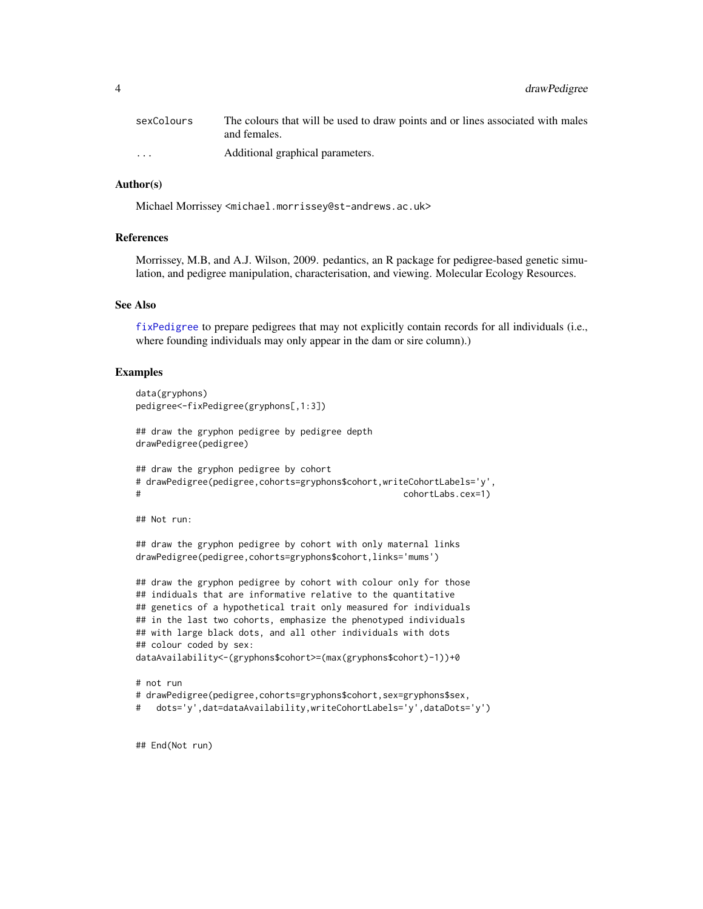<span id="page-3-0"></span>

| sexColours           | The colours that will be used to draw points and or lines associated with males<br>and females. |
|----------------------|-------------------------------------------------------------------------------------------------|
| $\ddot{\phantom{0}}$ | Additional graphical parameters.                                                                |

# Author(s)

Michael Morrissey <michael.morrissey@st-andrews.ac.uk>

#### References

Morrissey, M.B, and A.J. Wilson, 2009. pedantics, an R package for pedigree-based genetic simulation, and pedigree manipulation, characterisation, and viewing. Molecular Ecology Resources.

#### See Also

[fixPedigree](#page-4-1) to prepare pedigrees that may not explicitly contain records for all individuals (i.e., where founding individuals may only appear in the dam or sire column).)

#### Examples

```
data(gryphons)
pedigree<-fixPedigree(gryphons[,1:3])
## draw the gryphon pedigree by pedigree depth
drawPedigree(pedigree)
## draw the gryphon pedigree by cohort
# drawPedigree(pedigree,cohorts=gryphons$cohort,writeCohortLabels='y',
# cohortLabs.cex=1)
## Not run:
## draw the gryphon pedigree by cohort with only maternal links
drawPedigree(pedigree,cohorts=gryphons$cohort,links='mums')
## draw the gryphon pedigree by cohort with colour only for those
## indiduals that are informative relative to the quantitative
## genetics of a hypothetical trait only measured for individuals
## in the last two cohorts, emphasize the phenotyped individuals
## with large black dots, and all other individuals with dots
## colour coded by sex:
dataAvailability<-(gryphons$cohort>=(max(gryphons$cohort)-1))+0
# not run
# drawPedigree(pedigree,cohorts=gryphons$cohort,sex=gryphons$sex,
# dots='y',dat=dataAvailability,writeCohortLabels='y',dataDots='y')
```
## End(Not run)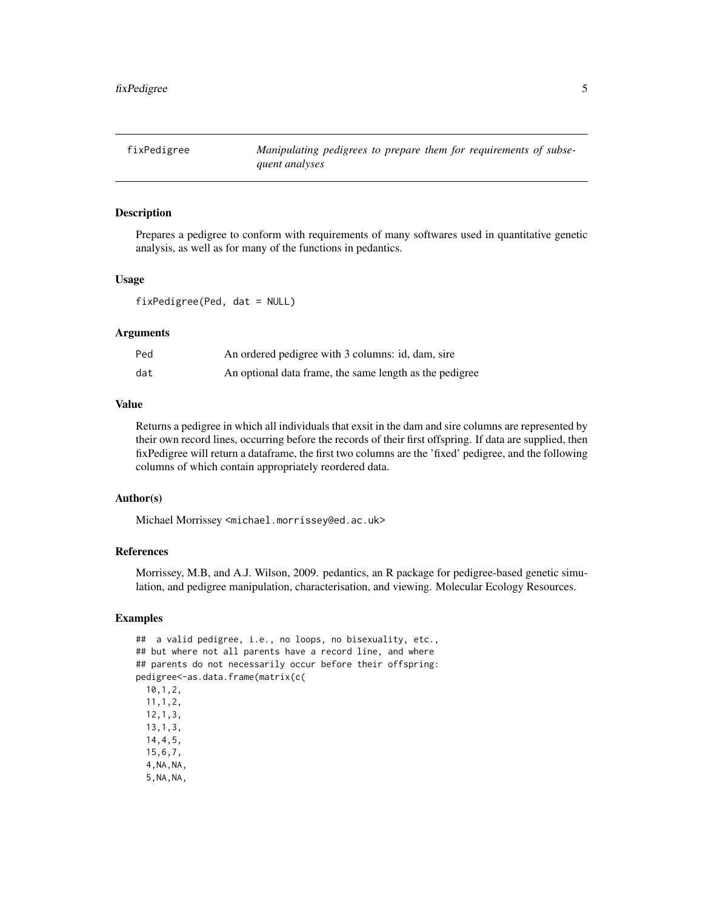<span id="page-4-1"></span><span id="page-4-0"></span>

# Description

Prepares a pedigree to conform with requirements of many softwares used in quantitative genetic analysis, as well as for many of the functions in pedantics.

#### Usage

fixPedigree(Ped, dat = NULL)

# Arguments

| Ped | An ordered pedigree with 3 columns: id, dam, sire       |
|-----|---------------------------------------------------------|
| dat | An optional data frame, the same length as the pedigree |

# Value

Returns a pedigree in which all individuals that exsit in the dam and sire columns are represented by their own record lines, occurring before the records of their first offspring. If data are supplied, then fixPedigree will return a dataframe, the first two columns are the 'fixed' pedigree, and the following columns of which contain appropriately reordered data.

# Author(s)

Michael Morrissey <michael.morrissey@ed.ac.uk>

#### References

Morrissey, M.B, and A.J. Wilson, 2009. pedantics, an R package for pedigree-based genetic simulation, and pedigree manipulation, characterisation, and viewing. Molecular Ecology Resources.

```
## a valid pedigree, i.e., no loops, no bisexuality, etc.,
## but where not all parents have a record line, and where
## parents do not necessarily occur before their offspring:
pedigree<-as.data.frame(matrix(c(
 10,1,2,
 11,1,2,
 12,1,3,
 13,1,3,
 14,4,5,
 15,6,7,
 4,NA,NA,
 5,NA,NA,
```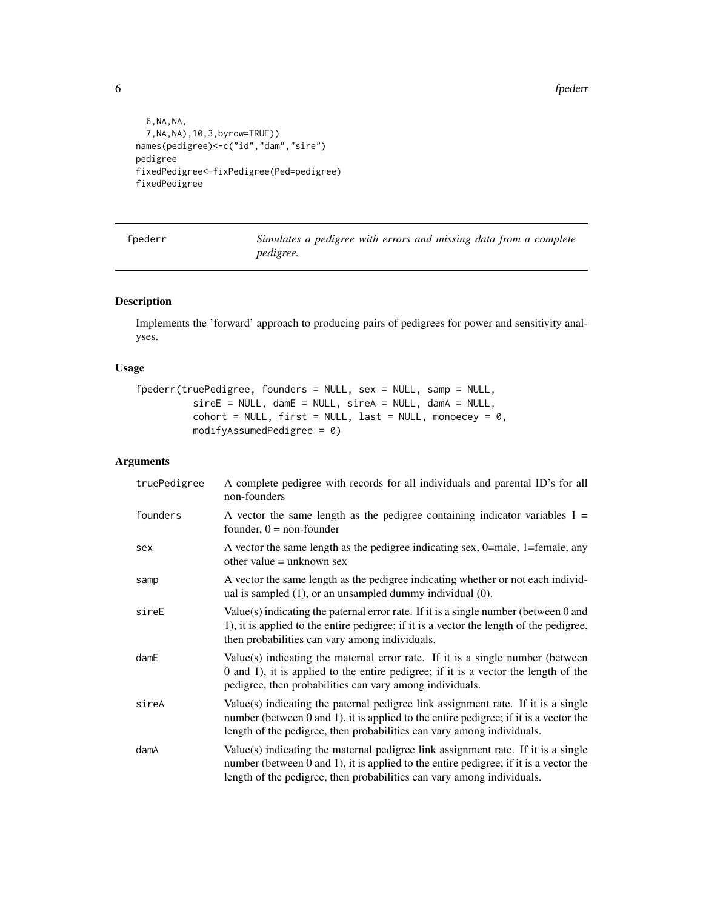6 fpederr

```
6,NA,NA,
  7,NA,NA),10,3,byrow=TRUE))
names(pedigree)<-c("id","dam","sire")
pedigree
fixedPedigree<-fixPedigree(Ped=pedigree)
fixedPedigree
```
<span id="page-5-1"></span>fpederr *Simulates a pedigree with errors and missing data from a complete pedigree.*

# Description

Implements the 'forward' approach to producing pairs of pedigrees for power and sensitivity analyses.

# Usage

```
fpederr(truePedigree, founders = NULL, sex = NULL, samp = NULL,
            sireE = NULL, damE = NULL, sireA = NULL, damA = NULL,
            \text{cohort} = \text{NULL}, \text{first} = \text{NULL}, \text{last} = \text{NULL}, \text{monoecey} = \emptyset,modifyAssumedPedigree = 0)
```

| truePedigree | A complete pedigree with records for all individuals and parental ID's for all<br>non-founders                                                                                                                                                            |
|--------------|-----------------------------------------------------------------------------------------------------------------------------------------------------------------------------------------------------------------------------------------------------------|
| founders     | A vector the same length as the pedigree containing indicator variables $1 =$<br>founder, $0 =$ non-founder                                                                                                                                               |
| sex          | A vector the same length as the pedigree indicating sex, 0=male, 1=female, any<br>other value $=$ unknown sex                                                                                                                                             |
| samp         | A vector the same length as the pedigree indicating whether or not each individ-<br>ual is sampled $(1)$ , or an unsampled dummy individual $(0)$ .                                                                                                       |
| sireE        | Value(s) indicating the paternal error rate. If it is a single number (between 0 and<br>1), it is applied to the entire pedigree; if it is a vector the length of the pedigree,<br>then probabilities can vary among individuals.                         |
| $d$ am $E$   | Value(s) indicating the maternal error rate. If it is a single number (between<br>0 and 1), it is applied to the entire pedigree; if it is a vector the length of the<br>pedigree, then probabilities can vary among individuals.                         |
| sireA        | Value(s) indicating the paternal pedigree link assignment rate. If it is a single<br>number (between 0 and 1), it is applied to the entire pedigree; if it is a vector the<br>length of the pedigree, then probabilities can vary among individuals.      |
| damA         | Value(s) indicating the maternal pedigree link assignment rate. If it is a single<br>number (between $0$ and $1$ ), it is applied to the entire pedigree; if it is a vector the<br>length of the pedigree, then probabilities can vary among individuals. |

<span id="page-5-0"></span>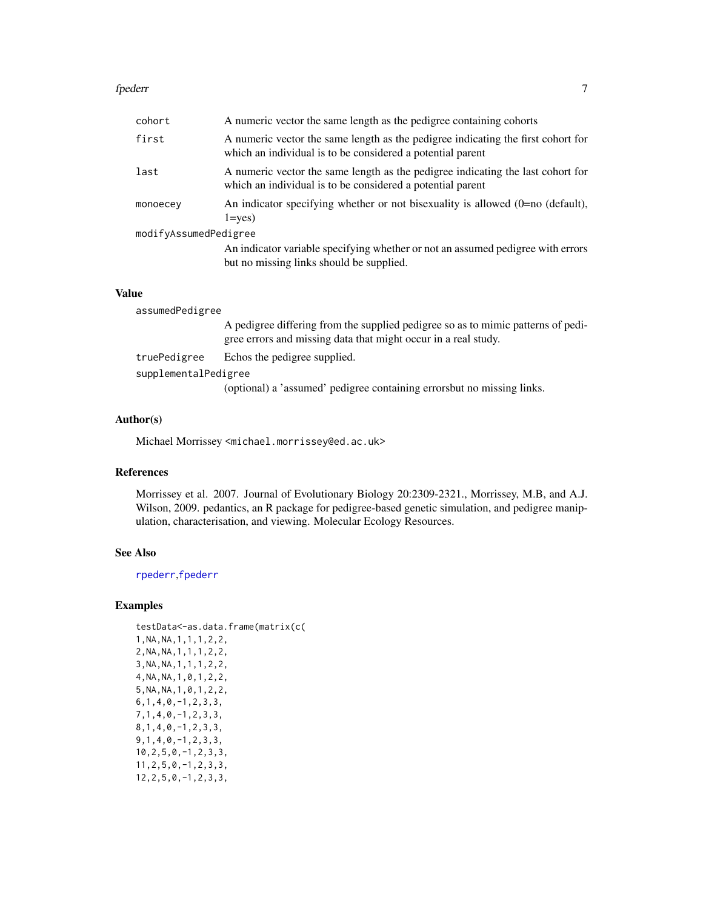#### <span id="page-6-0"></span>fpederr *7*

| cohort                | A numeric vector the same length as the pedigree containing cohorts                                                                            |
|-----------------------|------------------------------------------------------------------------------------------------------------------------------------------------|
| first                 | A numeric vector the same length as the pedigree indicating the first cohort for<br>which an individual is to be considered a potential parent |
| last                  | A numeric vector the same length as the pedigree indicating the last cohort for<br>which an individual is to be considered a potential parent  |
| monoecey              | An indicator specifying whether or not bisexuality is allowed (0=no (default),<br>$1 = ves$                                                    |
| modifyAssumedPedigree |                                                                                                                                                |
|                       | An indicator variable specifying whether or not an assumed pedigree with errors<br>but no missing links should be supplied.                    |
|                       |                                                                                                                                                |

# Value

assumedPedigree A pedigree differing from the supplied pedigree so as to mimic patterns of pedigree errors and missing data that might occur in a real study. truePedigree Echos the pedigree supplied. supplementalPedigree (optional) a 'assumed' pedigree containing errorsbut no missing links.

# Author(s)

Michael Morrissey <michael.morrissey@ed.ac.uk>

# References

Morrissey et al. 2007. Journal of Evolutionary Biology 20:2309-2321., Morrissey, M.B, and A.J. Wilson, 2009. pedantics, an R package for pedigree-based genetic simulation, and pedigree manipulation, characterisation, and viewing. Molecular Ecology Resources.

# See Also

[rpederr](#page-20-1),[fpederr](#page-5-1)

| testData<-as.data.frame(matrix(c( |
|-----------------------------------|
| 1, NA, NA, 1, 1, 1, 2, 2,         |
| 2, NA, NA, 1, 1, 1, 2, 2,         |
| 3, NA, NA, 1, 1, 1, 2, 2,         |
| 4, NA, NA, 1, 0, 1, 2, 2,         |
| 5, NA, NA, 1, 0, 1, 2, 2,         |
| $6, 1, 4, 0, -1, 2, 3, 3,$        |
| $7, 1, 4, 0, -1, 2, 3, 3,$        |
| $8, 1, 4, 0, -1, 2, 3, 3,$        |
| $9, 1, 4, 0, -1, 2, 3, 3,$        |
| $10, 2, 5, 0, -1, 2, 3, 3,$       |
| $11, 2, 5, 0, -1, 2, 3, 3,$       |
| $12, 2, 5, 0, -1, 2, 3, 3,$       |
|                                   |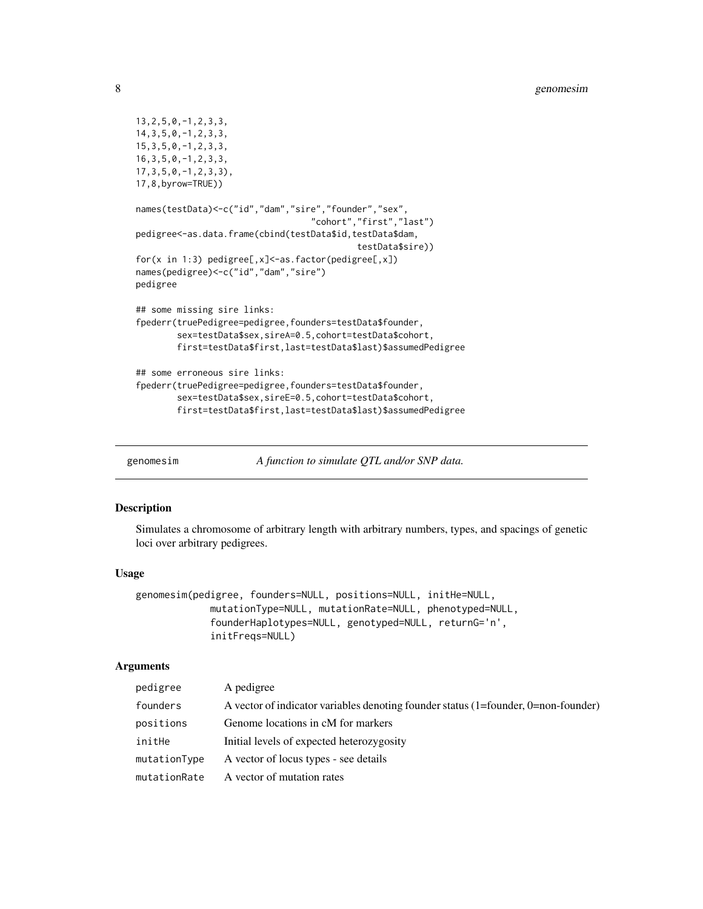```
13,2,5,0,-1,2,3,3,
14,3,5,0,-1,2,3,3,
15,3,5,0,-1,2,3,3,
16,3,5,0,-1,2,3,3,
17,3,5,0,-1,2,3,3),
17,8,byrow=TRUE))
names(testData)<-c("id","dam","sire","founder","sex",
                                  "cohort","first","last")
pedigree<-as.data.frame(cbind(testData$id,testData$dam,
                                           testData$sire))
for(x in 1:3) pedigree[,x]<-as.factor(pedigree[,x])
names(pedigree)<-c("id","dam","sire")
pedigree
## some missing sire links:
fpederr(truePedigree=pedigree,founders=testData$founder,
        sex=testData$sex,sireA=0.5,cohort=testData$cohort,
        first=testData$first,last=testData$last)$assumedPedigree
## some erroneous sire links:
fpederr(truePedigree=pedigree,founders=testData$founder,
        sex=testData$sex,sireE=0.5,cohort=testData$cohort,
        first=testData$first,last=testData$last)$assumedPedigree
```
genomesim *A function to simulate QTL and/or SNP data.*

#### Description

Simulates a chromosome of arbitrary length with arbitrary numbers, types, and spacings of genetic loci over arbitrary pedigrees.

#### Usage

```
genomesim(pedigree, founders=NULL, positions=NULL, initHe=NULL,
            mutationType=NULL, mutationRate=NULL, phenotyped=NULL,
             founderHaplotypes=NULL, genotyped=NULL, returnG='n',
             initFreqs=NULL)
```

| pedigree     | A pedigree                                                                         |
|--------------|------------------------------------------------------------------------------------|
| founders     | A vector of indicator variables denoting founder status (1=founder, 0=non-founder) |
| positions    | Genome locations in cM for markers                                                 |
| initHe       | Initial levels of expected heterozygosity                                          |
| mutationType | A vector of locus types - see details                                              |
| mutationRate | A vector of mutation rates                                                         |

<span id="page-7-0"></span>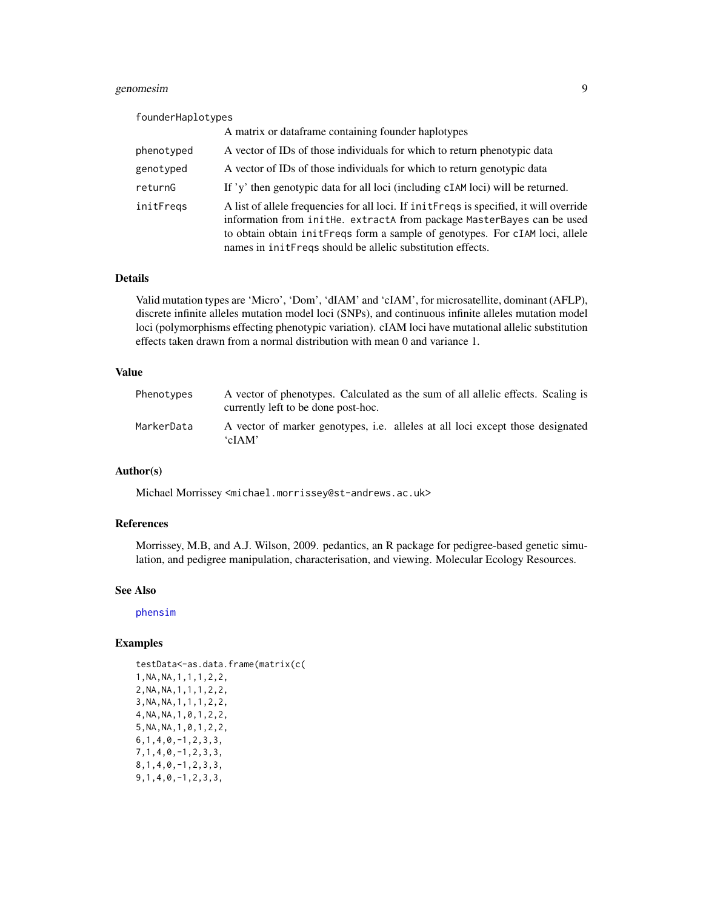# <span id="page-8-0"></span>genomesim 9

| founderHaplotypes |                                                                                                                                                                                                                                                                                                                    |
|-------------------|--------------------------------------------------------------------------------------------------------------------------------------------------------------------------------------------------------------------------------------------------------------------------------------------------------------------|
|                   | A matrix or dataframe containing founder haplotypes                                                                                                                                                                                                                                                                |
| phenotyped        | A vector of IDs of those individuals for which to return phenotypic data                                                                                                                                                                                                                                           |
| genotyped         | A vector of IDs of those individuals for which to return genotypic data                                                                                                                                                                                                                                            |
| returnG           | If 'y' then genotypic data for all loci (including cIAM loci) will be returned.                                                                                                                                                                                                                                    |
| initFregs         | A list of allele frequencies for all loci. If initFreqs is specified, it will override<br>information from inithe. extractA from package MasterBayes can be used<br>to obtain obtain initerequency form a sample of genotypes. For cIAM loci, allele<br>names in initereqs should be allelic substitution effects. |

# Details

Valid mutation types are 'Micro', 'Dom', 'dIAM' and 'cIAM', for microsatellite, dominant (AFLP), discrete infinite alleles mutation model loci (SNPs), and continuous infinite alleles mutation model loci (polymorphisms effecting phenotypic variation). cIAM loci have mutational allelic substitution effects taken drawn from a normal distribution with mean 0 and variance 1.

# Value

| Phenotypes | A vector of phenotypes. Calculated as the sum of all allelic effects. Scaling is<br>currently left to be done post-hoc. |
|------------|-------------------------------------------------------------------------------------------------------------------------|
| MarkerData | A vector of marker genotypes, i.e. alleles at all loci except those designated<br>ʻcIAM'                                |

# Author(s)

Michael Morrissey <michael.morrissey@st-andrews.ac.uk>

# References

Morrissey, M.B, and A.J. Wilson, 2009. pedantics, an R package for pedigree-based genetic simulation, and pedigree manipulation, characterisation, and viewing. Molecular Ecology Resources.

# See Also

[phensim](#page-19-1)

```
testData<-as.data.frame(matrix(c(
1,NA,NA,1,1,1,2,2,
2,NA,NA,1,1,1,2,2,
3,NA,NA,1,1,1,2,2,
4,NA,NA,1,0,1,2,2,
5,NA,NA,1,0,1,2,2,
6,1,4,0,-1,2,3,3,
7,1,4,0,-1,2,3,3,
8,1,4,0,-1,2,3,3,
9,1,4,0,-1,2,3,3,
```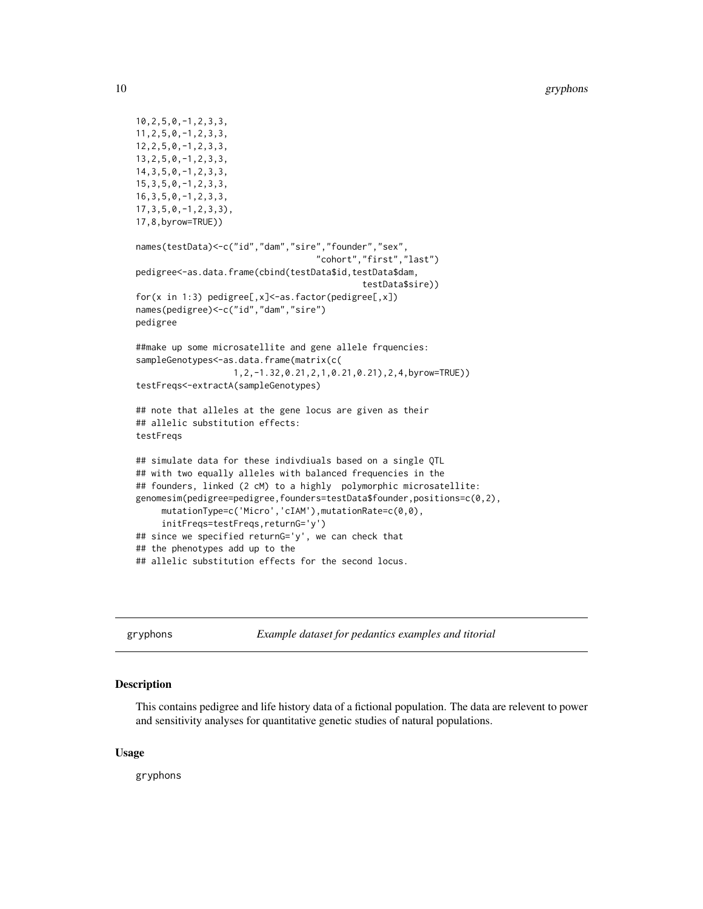```
10,2,5,0,-1,2,3,3,
11,2,5,0,-1,2,3,3,
12,2,5,0,-1,2,3,3,
13,2,5,0,-1,2,3,3,
14,3,5,0,-1,2,3,3,
15,3,5,0,-1,2,3,3,
16,3,5,0,-1,2,3,3,
17,3,5,0,-1,2,3,3),
17,8,byrow=TRUE))
names(testData)<-c("id","dam","sire","founder","sex",
                                   "cohort","first","last")
pedigree<-as.data.frame(cbind(testData$id,testData$dam,
                                             testData$sire))
for(x in 1:3) pedigree[,x]<-as.factor(pedigree[,x])
names(pedigree)<-c("id","dam","sire")
pedigree
##make up some microsatellite and gene allele frquencies:
sampleGenotypes<-as.data.frame(matrix(c(
                   1,2,-1.32,0.21,2,1,0.21,0.21),2,4,byrow=TRUE))
testFreqs<-extractA(sampleGenotypes)
## note that alleles at the gene locus are given as their
## allelic substitution effects:
testFreqs
## simulate data for these indivdiuals based on a single QTL
## with two equally alleles with balanced frequencies in the
## founders, linked (2 cM) to a highly polymorphic microsatellite:
genomesim(pedigree=pedigree,founders=testData$founder,positions=c(0,2),
    mutationType=c('Micro','cIAM'),mutationRate=c(0,0),
     initFreqs=testFreqs,returnG='y')
## since we specified returnG='y', we can check that
## the phenotypes add up to the
## allelic substitution effects for the second locus.
```
gryphons *Example dataset for pedantics examples and titorial*

#### Description

This contains pedigree and life history data of a fictional population. The data are relevent to power and sensitivity analyses for quantitative genetic studies of natural populations.

# Usage

gryphons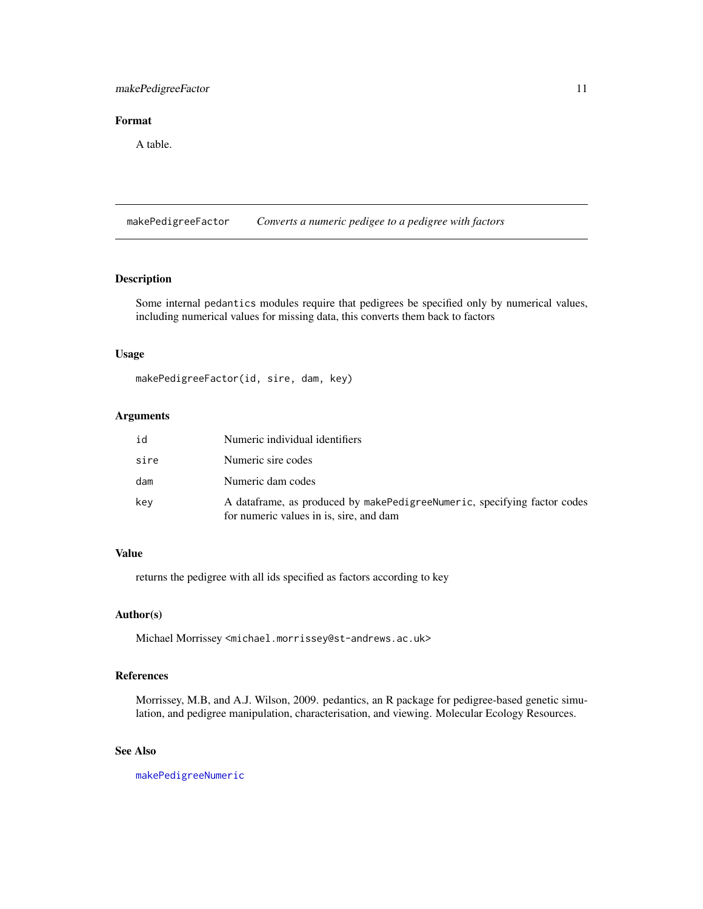# <span id="page-10-0"></span>makePedigreeFactor 11

# Format

A table.

<span id="page-10-1"></span>makePedigreeFactor *Converts a numeric pedigee to a pedigree with factors*

# Description

Some internal pedantics modules require that pedigrees be specified only by numerical values, including numerical values for missing data, this converts them back to factors

# Usage

makePedigreeFactor(id, sire, dam, key)

# Arguments

| id   | Numeric individual identifiers                                                                                         |
|------|------------------------------------------------------------------------------------------------------------------------|
| sire | Numeric sire codes                                                                                                     |
| dam  | Numeric dam codes                                                                                                      |
| kev  | A data frame, as produced by make Pedigree Numeric, specifying factor codes<br>for numeric values in is, sire, and dam |

# Value

returns the pedigree with all ids specified as factors according to key

#### Author(s)

Michael Morrissey <michael.morrissey@st-andrews.ac.uk>

# References

Morrissey, M.B, and A.J. Wilson, 2009. pedantics, an R package for pedigree-based genetic simulation, and pedigree manipulation, characterisation, and viewing. Molecular Ecology Resources.

### See Also

[makePedigreeNumeric](#page-11-1)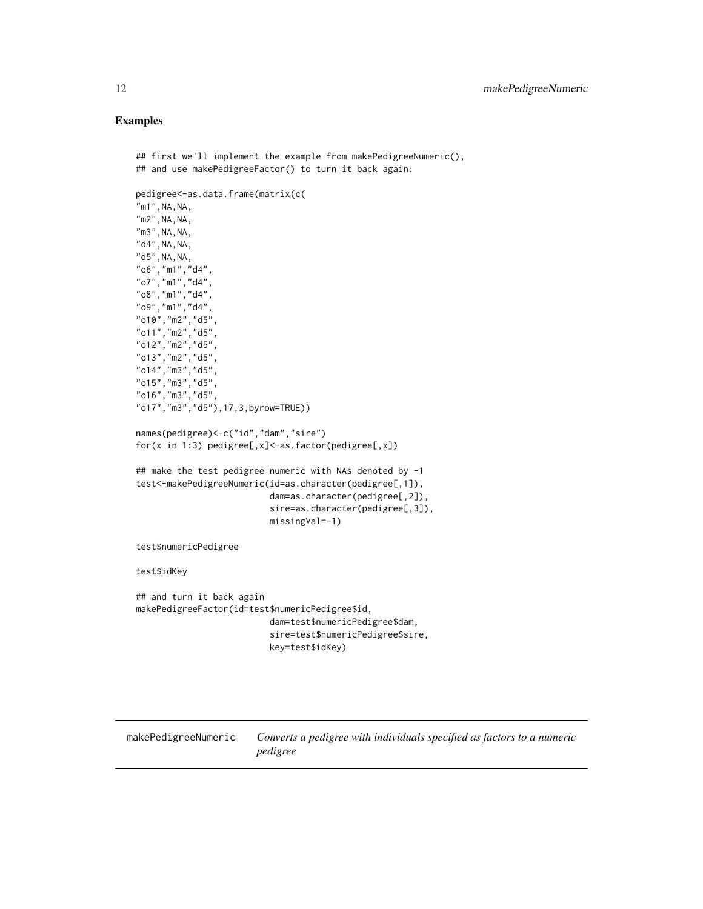# Examples

```
## first we'll implement the example from makePedigreeNumeric(),
## and use makePedigreeFactor() to turn it back again:
pedigree<-as.data.frame(matrix(c(
"m1", NA, NA,
"m2", NA, NA,
"m3", NA, NA,
"d4", NA, NA,
"d5", NA, NA,
"o6","m1","d4",
"o7","m1","d4",
"o8","m1","d4",
"o9","m1","d4",
"o10","m2","d5",
"o11","m2","d5",
"o12","m2","d5",
"o13","m2","d5",
"o14","m3","d5",
"o15","m3","d5",
"o16","m3","d5",
"o17","m3","d5"),17,3,byrow=TRUE))
names(pedigree)<-c("id","dam","sire")
for(x in 1:3) pedigree[,x]<-as.factor(pedigree[,x])
## make the test pedigree numeric with NAs denoted by -1
test<-makePedigreeNumeric(id=as.character(pedigree[,1]),
                           dam=as.character(pedigree[,2]),
                           sire=as.character(pedigree[,3]),
                           missingVal=-1)
test$numericPedigree
test$idKey
## and turn it back again
makePedigreeFactor(id=test$numericPedigree$id,
                          dam=test$numericPedigree$dam,
                           sire=test$numericPedigree$sire,
                           key=test$idKey)
```
<span id="page-11-1"></span>makePedigreeNumeric *Converts a pedigree with individuals specified as factors to a numeric pedigree*

<span id="page-11-0"></span>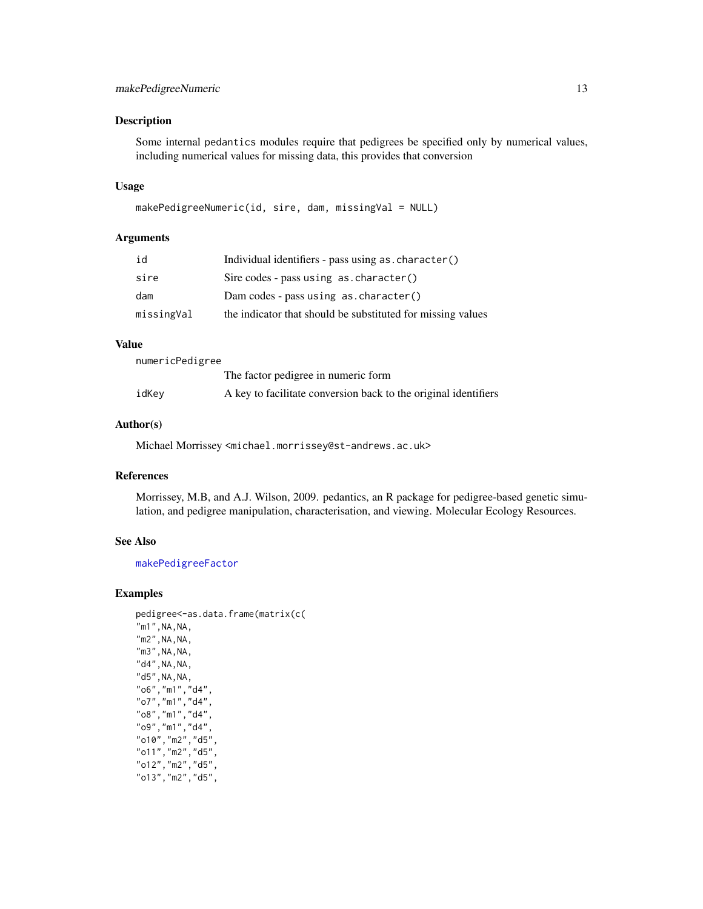# <span id="page-12-0"></span>makePedigreeNumeric 13

# Description

Some internal pedantics modules require that pedigrees be specified only by numerical values, including numerical values for missing data, this provides that conversion

#### Usage

```
makePedigreeNumeric(id, sire, dam, missingVal = NULL)
```
#### Arguments

| id         | Individual identifiers - pass using as. character()         |
|------------|-------------------------------------------------------------|
| sire       | Sire codes - pass using $as. character()$                   |
| dam        | Dam codes - pass using as. character()                      |
| missingVal | the indicator that should be substituted for missing values |

#### Value

numericPedigree

|       | The factor pedigree in numeric form                             |
|-------|-----------------------------------------------------------------|
| idKey | A key to facilitate conversion back to the original identifiers |

# Author(s)

Michael Morrissey <michael.morrissey@st-andrews.ac.uk>

#### References

Morrissey, M.B, and A.J. Wilson, 2009. pedantics, an R package for pedigree-based genetic simulation, and pedigree manipulation, characterisation, and viewing. Molecular Ecology Resources.

# See Also

[makePedigreeFactor](#page-10-1)

```
pedigree<-as.data.frame(matrix(c(
"m1", NA, NA,
"m2", NA, NA,
"m3", NA, NA,
"d4", NA, NA,
"d5", NA, NA,
"o6","m1","d4",
"o7","m1","d4",
"o8","m1","d4",
"o9","m1","d4",
"o10","m2","d5",
"o11","m2","d5",
"o12","m2","d5",
"o13","m2","d5",
```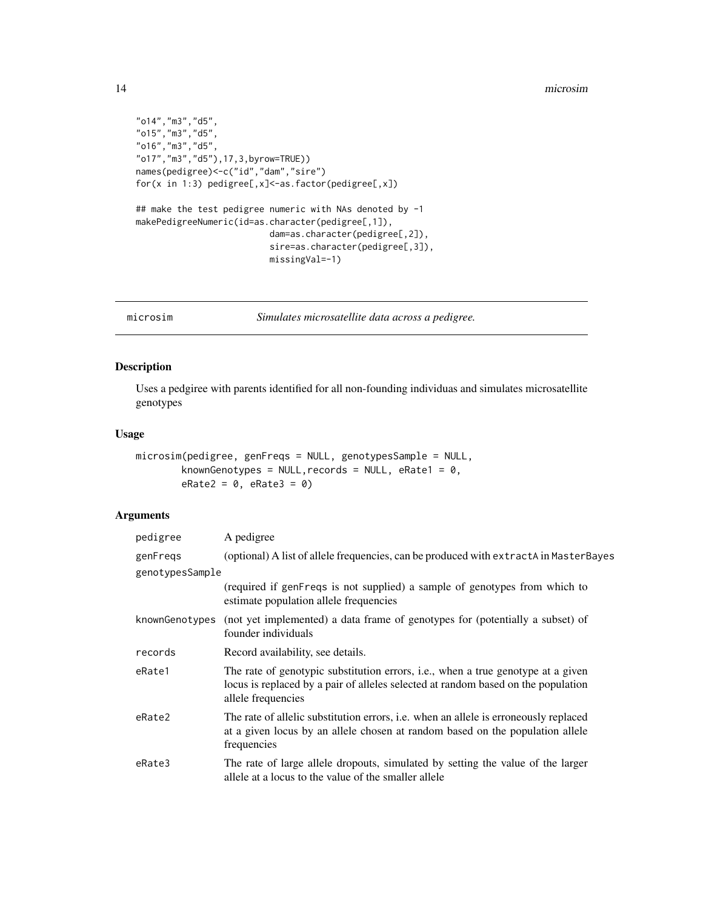```
"o14","m3","d5",
"o15","m3","d5",
"o16","m3","d5",
"o17","m3","d5"),17,3,byrow=TRUE))
names(pedigree)<-c("id","dam","sire")
for(x in 1:3) pedigree[,x]<-as.factor(pedigree[,x])
## make the test pedigree numeric with NAs denoted by -1
makePedigreeNumeric(id=as.character(pedigree[,1]),
                          dam=as.character(pedigree[,2]),
                          sire=as.character(pedigree[,3]),
                          missingVal=-1)
```
microsim *Simulates microsatellite data across a pedigree.*

# Description

Uses a pedgiree with parents identified for all non-founding individuas and simulates microsatellite genotypes

# Usage

```
microsim(pedigree, genFreqs = NULL, genotypesSample = NULL,
        knownGenotypes = NULL, records = NULL, eRate1 = 0,
        eRate2 = 0, eRate3 = 0
```

| pedigree        | A pedigree                                                                                                                                                                                  |
|-----------------|---------------------------------------------------------------------------------------------------------------------------------------------------------------------------------------------|
| genFregs        | (optional) A list of allele frequencies, can be produced with extractA in MasterBayes                                                                                                       |
| genotypesSample |                                                                                                                                                                                             |
|                 | (required if genFreqs is not supplied) a sample of genotypes from which to<br>estimate population allele frequencies                                                                        |
| knownGenotypes  | (not yet implemented) a data frame of genotypes for (potentially a subset) of<br>founder individuals                                                                                        |
| records         | Record availability, see details.                                                                                                                                                           |
| eRate1          | The rate of genotypic substitution errors, i.e., when a true genotype at a given<br>locus is replaced by a pair of alleles selected at random based on the population<br>allele frequencies |
| eRate2          | The rate of allelic substitution errors, <i>i.e.</i> when an allele is erroneously replaced<br>at a given locus by an allele chosen at random based on the population allele<br>frequencies |
| eRate3          | The rate of large allele dropouts, simulated by setting the value of the larger<br>allele at a locus to the value of the smaller allele                                                     |

<span id="page-13-0"></span>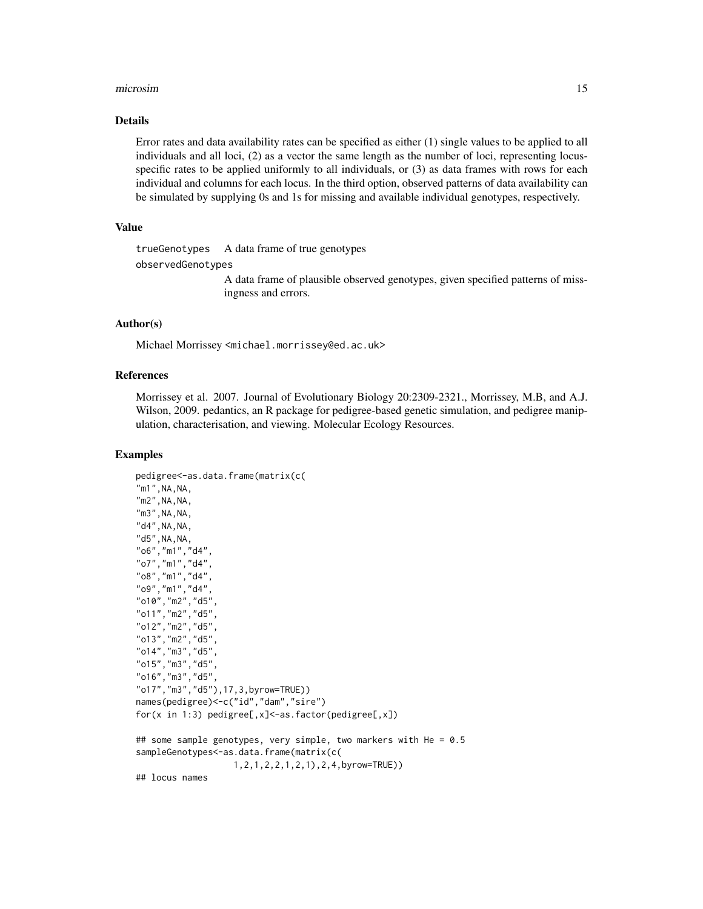#### microsim and the contract of the contract of the contract of the contract of the contract of the contract of the contract of the contract of the contract of the contract of the contract of the contract of the contract of t

# Details

Error rates and data availability rates can be specified as either (1) single values to be applied to all individuals and all loci, (2) as a vector the same length as the number of loci, representing locusspecific rates to be applied uniformly to all individuals, or (3) as data frames with rows for each individual and columns for each locus. In the third option, observed patterns of data availability can be simulated by supplying 0s and 1s for missing and available individual genotypes, respectively.

# Value

trueGenotypes A data frame of true genotypes

```
observedGenotypes
```
A data frame of plausible observed genotypes, given specified patterns of missingness and errors.

#### Author(s)

Michael Morrissey <michael.morrissey@ed.ac.uk>

# References

Morrissey et al. 2007. Journal of Evolutionary Biology 20:2309-2321., Morrissey, M.B, and A.J. Wilson, 2009. pedantics, an R package for pedigree-based genetic simulation, and pedigree manipulation, characterisation, and viewing. Molecular Ecology Resources.

```
pedigree<-as.data.frame(matrix(c(
"m1", NA, NA,
"m2", NA, NA,
"m3", NA, NA,
"d4", NA, NA,
"d5", NA, NA,
"o6","m1","d4",
"o7","m1","d4",
"o8","m1","d4",
"o9","m1","d4",
"o10","m2","d5",
"o11","m2","d5",
"o12","m2","d5",
"o13","m2","d5",
"o14","m3","d5",
"o15","m3","d5",
"o16","m3","d5",
"o17","m3","d5"),17,3,byrow=TRUE))
names(pedigree)<-c("id","dam","sire")
for(x in 1:3) pedigree[,x]<-as.factor(pedigree[,x])
## some sample genotypes, very simple, two markers with He = 0.5
sampleGenotypes<-as.data.frame(matrix(c(
                   1,2,1,2,2,1,2,1),2,4,byrow=TRUE))
## locus names
```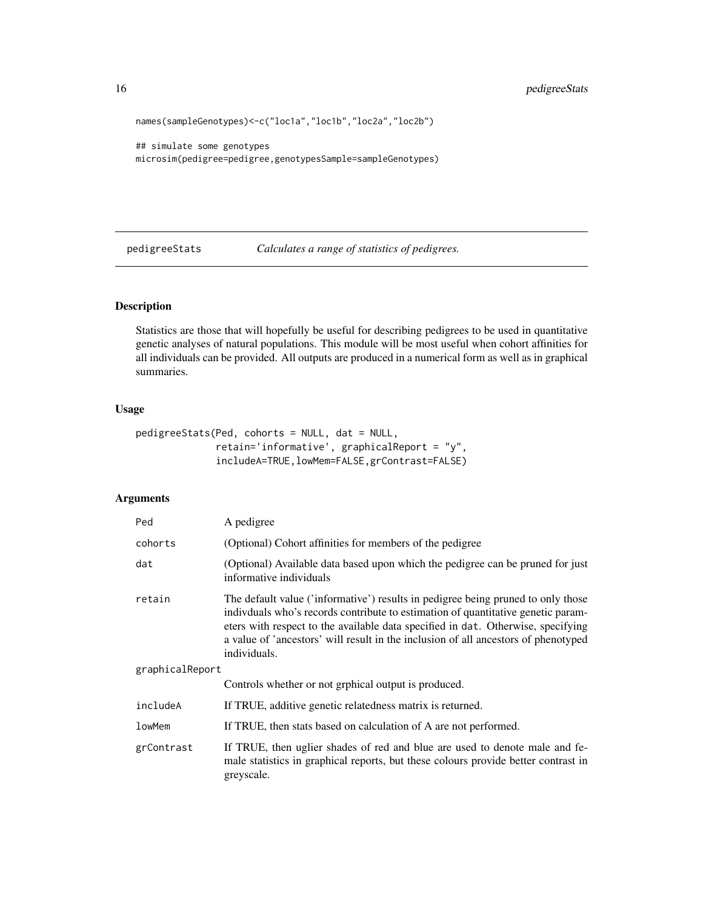```
names(sampleGenotypes)<-c("loc1a","loc1b","loc2a","loc2b")
```

```
## simulate some genotypes
microsim(pedigree=pedigree,genotypesSample=sampleGenotypes)
```
pedigreeStats *Calculates a range of statistics of pedigrees.*

# Description

Statistics are those that will hopefully be useful for describing pedigrees to be used in quantitative genetic analyses of natural populations. This module will be most useful when cohort affinities for all individuals can be provided. All outputs are produced in a numerical form as well as in graphical summaries.

# Usage

```
pedigreeStats(Ped, cohorts = NULL, dat = NULL,
              retain='informative', graphicalReport = "y",
              includeA=TRUE,lowMem=FALSE,grContrast=FALSE)
```

| Ped             | A pedigree                                                                                                                                                                                                                                                                                                                                                      |
|-----------------|-----------------------------------------------------------------------------------------------------------------------------------------------------------------------------------------------------------------------------------------------------------------------------------------------------------------------------------------------------------------|
| cohorts         | (Optional) Cohort affinities for members of the pedigree                                                                                                                                                                                                                                                                                                        |
| dat             | (Optional) Available data based upon which the pedigree can be pruned for just<br>informative individuals                                                                                                                                                                                                                                                       |
| retain          | The default value ('informative') results in pedigree being pruned to only those<br>individuals who's records contribute to estimation of quantitative genetic param-<br>eters with respect to the available data specified in dat. Otherwise, specifying<br>a value of 'ancestors' will result in the inclusion of all ancestors of phenotyped<br>individuals. |
| graphicalReport |                                                                                                                                                                                                                                                                                                                                                                 |
|                 | Controls whether or not grphical output is produced.                                                                                                                                                                                                                                                                                                            |
| includeA        | If TRUE, additive genetic relatedness matrix is returned.                                                                                                                                                                                                                                                                                                       |
| lowMem          | If TRUE, then stats based on calculation of A are not performed.                                                                                                                                                                                                                                                                                                |
| grContrast      | If TRUE, then uglier shades of red and blue are used to denote male and fe-<br>male statistics in graphical reports, but these colours provide better contrast in<br>greyscale.                                                                                                                                                                                 |

<span id="page-15-0"></span>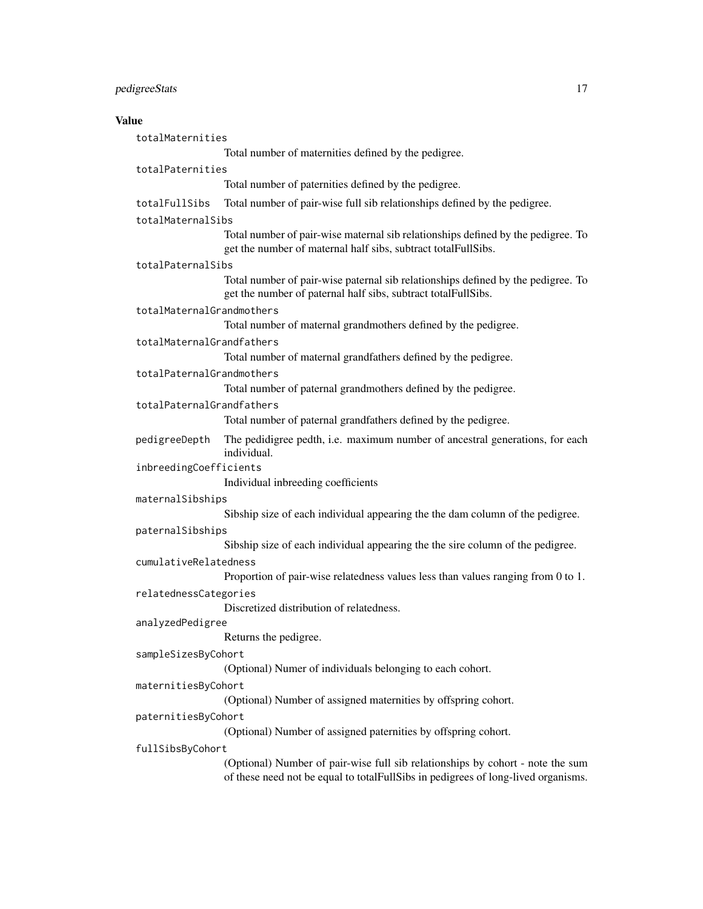# pedigreeStats 17

# Value

totalMaternities

Total number of maternities defined by the pedigree.

# totalPaternities

Total number of paternities defined by the pedigree.

totalFullSibs Total number of pair-wise full sib relationships defined by the pedigree.

#### totalMaternalSibs

Total number of pair-wise maternal sib relationships defined by the pedigree. To get the number of maternal half sibs, subtract totalFullSibs.

# totalPaternalSibs

Total number of pair-wise paternal sib relationships defined by the pedigree. To get the number of paternal half sibs, subtract totalFullSibs.

#### totalMaternalGrandmothers

Total number of maternal grandmothers defined by the pedigree.

totalMaternalGrandfathers

Total number of maternal grandfathers defined by the pedigree.

totalPaternalGrandmothers

Total number of paternal grandmothers defined by the pedigree.

#### totalPaternalGrandfathers

Total number of paternal grandfathers defined by the pedigree.

- pedigreeDepth The pedidigree pedth, i.e. maximum number of ancestral generations, for each individual.
- inbreedingCoefficients

Individual inbreeding coefficients

#### maternalSibships

Sibship size of each individual appearing the the dam column of the pedigree.

- paternalSibships
	- Sibship size of each individual appearing the the sire column of the pedigree.

#### cumulativeRelatedness

Proportion of pair-wise relatedness values less than values ranging from 0 to 1.

#### relatednessCategories

Discretized distribution of relatedness.

# analyzedPedigree

Returns the pedigree.

#### sampleSizesByCohort

(Optional) Numer of individuals belonging to each cohort.

#### maternitiesByCohort

(Optional) Number of assigned maternities by offspring cohort.

# paternitiesByCohort

(Optional) Number of assigned paternities by offspring cohort.

#### fullSibsByCohort

(Optional) Number of pair-wise full sib relationships by cohort - note the sum of these need not be equal to totalFullSibs in pedigrees of long-lived organisms.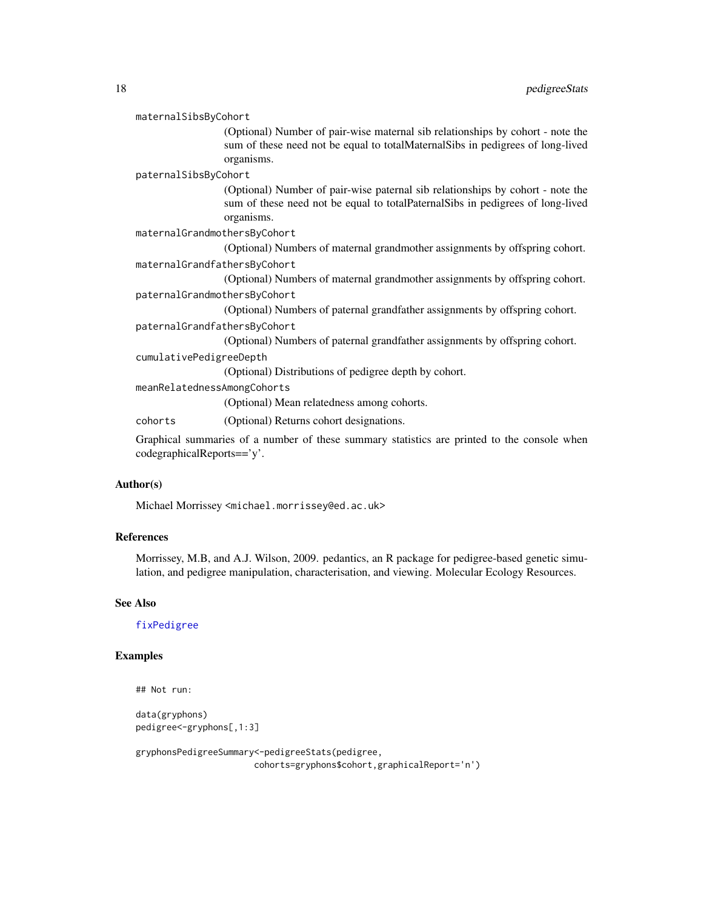#### <span id="page-17-0"></span>maternalSibsByCohort

(Optional) Number of pair-wise maternal sib relationships by cohort - note the sum of these need not be equal to totalMaternalSibs in pedigrees of long-lived organisms.

paternalSibsByCohort

(Optional) Number of pair-wise paternal sib relationships by cohort - note the sum of these need not be equal to totalPaternalSibs in pedigrees of long-lived organisms.

### maternalGrandmothersByCohort

(Optional) Numbers of maternal grandmother assignments by offspring cohort.

```
maternalGrandfathersByCohort
```
(Optional) Numbers of maternal grandmother assignments by offspring cohort. paternalGrandmothersByCohort

(Optional) Numbers of paternal grandfather assignments by offspring cohort.

#### paternalGrandfathersByCohort

(Optional) Numbers of paternal grandfather assignments by offspring cohort.

# cumulativePedigreeDepth

(Optional) Distributions of pedigree depth by cohort.

meanRelatednessAmongCohorts

(Optional) Mean relatedness among cohorts.

cohorts (Optional) Returns cohort designations.

Graphical summaries of a number of these summary statistics are printed to the console when codegraphicalReports=='y'.

# Author(s)

Michael Morrissey <michael.morrissey@ed.ac.uk>

# References

Morrissey, M.B, and A.J. Wilson, 2009. pedantics, an R package for pedigree-based genetic simulation, and pedigree manipulation, characterisation, and viewing. Molecular Ecology Resources.

# See Also

[fixPedigree](#page-4-1)

# Examples

```
## Not run:
```

```
data(gryphons)
pedigree<-gryphons[,1:3]
```
gryphonsPedigreeSummary<-pedigreeStats(pedigree, cohorts=gryphons\$cohort,graphicalReport='n')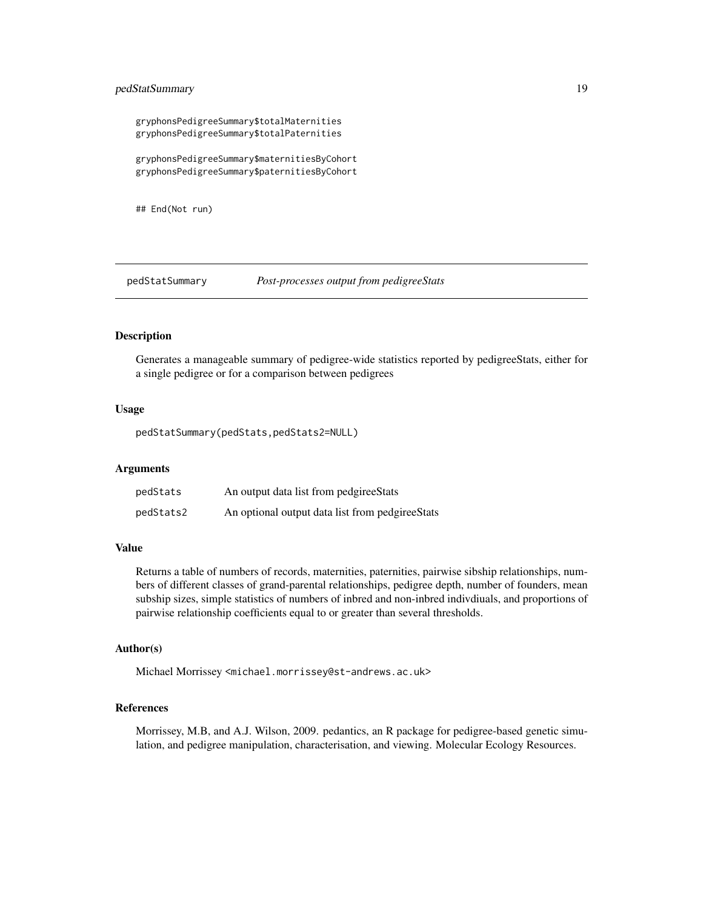# <span id="page-18-0"></span>pedStatSummary 19

gryphonsPedigreeSummary\$totalMaternities gryphonsPedigreeSummary\$totalPaternities

gryphonsPedigreeSummary\$maternitiesByCohort gryphonsPedigreeSummary\$paternitiesByCohort

## End(Not run)

pedStatSummary *Post-processes output from pedigreeStats*

# Description

Generates a manageable summary of pedigree-wide statistics reported by pedigreeStats, either for a single pedigree or for a comparison between pedigrees

#### Usage

pedStatSummary(pedStats,pedStats2=NULL)

#### Arguments

| pedStats  | An output data list from pedgiree Stats          |
|-----------|--------------------------------------------------|
| pedStats2 | An optional output data list from pedgiree Stats |

#### Value

Returns a table of numbers of records, maternities, paternities, pairwise sibship relationships, numbers of different classes of grand-parental relationships, pedigree depth, number of founders, mean subship sizes, simple statistics of numbers of inbred and non-inbred indivdiuals, and proportions of pairwise relationship coefficients equal to or greater than several thresholds.

# Author(s)

Michael Morrissey <michael.morrissey@st-andrews.ac.uk>

# References

Morrissey, M.B, and A.J. Wilson, 2009. pedantics, an R package for pedigree-based genetic simulation, and pedigree manipulation, characterisation, and viewing. Molecular Ecology Resources.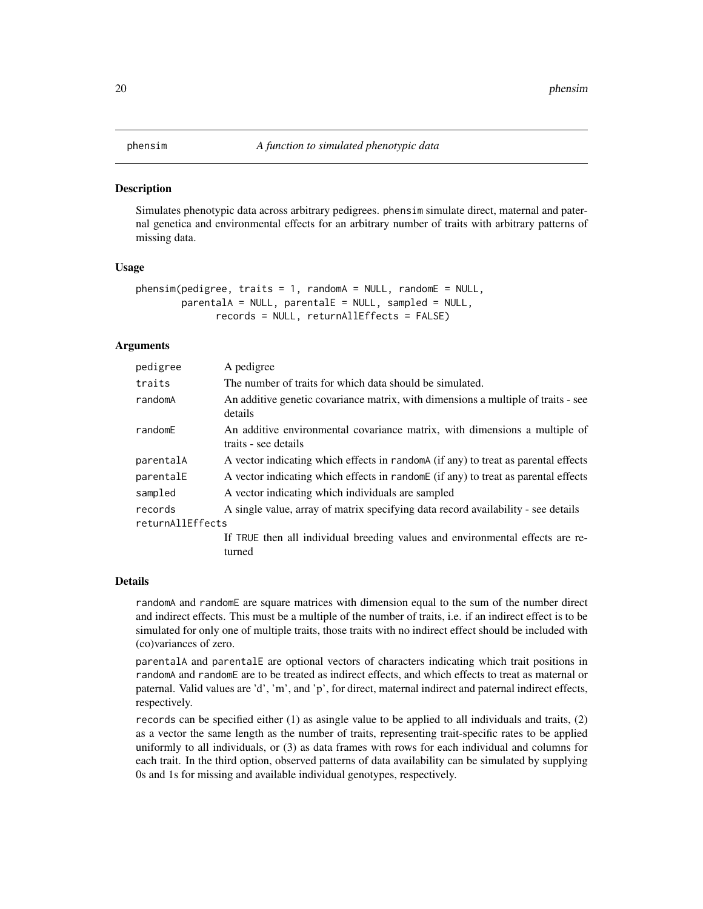# <span id="page-19-1"></span><span id="page-19-0"></span>Description

Simulates phenotypic data across arbitrary pedigrees. phensim simulate direct, maternal and paternal genetica and environmental effects for an arbitrary number of traits with arbitrary patterns of missing data.

#### Usage

```
phensing(pedigree, traits = 1, randomA = NULL, randomE = NULL,
       parentalA = NULL, parentalE = NULL, sampled = NULL,
              records = NULL, returnAllEffects = FALSE)
```
# Arguments

| pedigree                    | A pedigree                                                                                         |
|-----------------------------|----------------------------------------------------------------------------------------------------|
| traits                      | The number of traits for which data should be simulated.                                           |
| randomA                     | An additive genetic covariance matrix, with dimensions a multiple of traits - see<br>details       |
| randomE                     | An additive environmental covariance matrix, with dimensions a multiple of<br>traits - see details |
| parentalA                   | A vector indicating which effects in randoma (if any) to treat as parental effects                 |
| parentalE                   | A vector indicating which effects in randome (if any) to treat as parental effects                 |
| sampled                     | A vector indicating which individuals are sampled                                                  |
| records<br>returnAllEffects | A single value, array of matrix specifying data record availability - see details                  |
|                             | If TRUE then all individual breeding values and environmental effects are re-<br>turned            |

#### Details

randomA and randomE are square matrices with dimension equal to the sum of the number direct and indirect effects. This must be a multiple of the number of traits, i.e. if an indirect effect is to be simulated for only one of multiple traits, those traits with no indirect effect should be included with (co)variances of zero.

parentalA and parentalE are optional vectors of characters indicating which trait positions in randomA and randomE are to be treated as indirect effects, and which effects to treat as maternal or paternal. Valid values are 'd', 'm', and 'p', for direct, maternal indirect and paternal indirect effects, respectively.

records can be specified either (1) as asingle value to be applied to all individuals and traits, (2) as a vector the same length as the number of traits, representing trait-specific rates to be applied uniformly to all individuals, or (3) as data frames with rows for each individual and columns for each trait. In the third option, observed patterns of data availability can be simulated by supplying 0s and 1s for missing and available individual genotypes, respectively.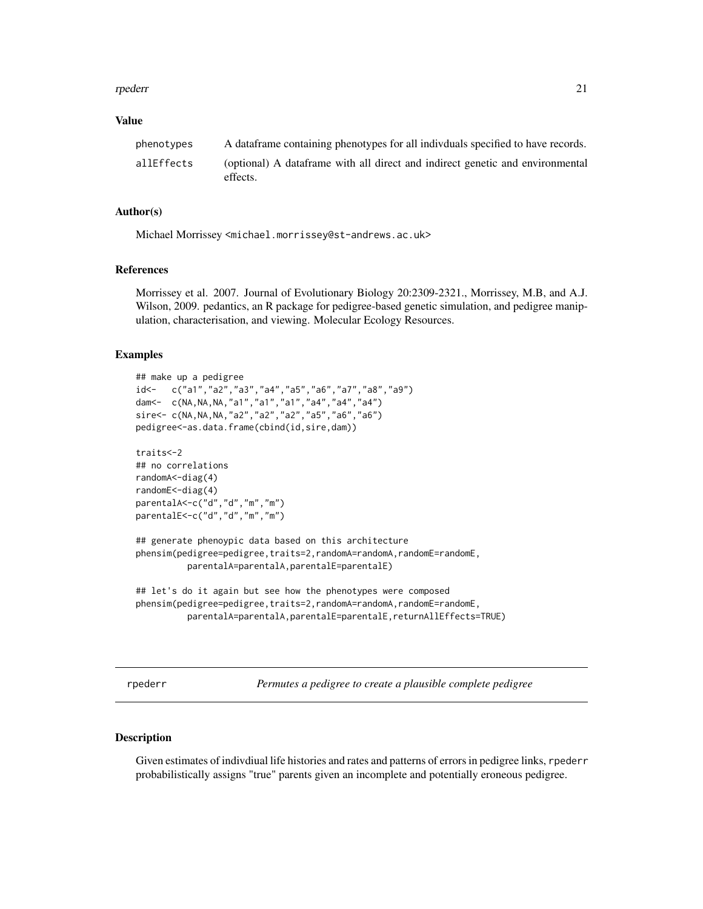#### <span id="page-20-0"></span>rpederr 21

#### Value

| phenotypes | A data frame containing phenotypes for all individuals specified to have records.          |
|------------|--------------------------------------------------------------------------------------------|
| allEffects | (optional) A data frame with all direct and indirect genetic and environmental<br>effects. |

# Author(s)

Michael Morrissey <michael.morrissey@st-andrews.ac.uk>

# References

Morrissey et al. 2007. Journal of Evolutionary Biology 20:2309-2321., Morrissey, M.B, and A.J. Wilson, 2009. pedantics, an R package for pedigree-based genetic simulation, and pedigree manipulation, characterisation, and viewing. Molecular Ecology Resources.

#### Examples

```
## make up a pedigree
id<- c("a1","a2","a3","a4","a5","a6","a7","a8","a9")
dam<- c(NA,NA,NA,"a1","a1","a1","a4","a4","a4")
sire<- c(NA, NA, NA, "a2", "a2", "a2", "a5", "a6", "a6")
pedigree<-as.data.frame(cbind(id,sire,dam))
traits<-2
## no correlations
randomA<-diag(4)
randomE<-diag(4)
parentalA<-c("d","d","m","m")
parentalE<-c("d","d","m","m")
## generate phenoypic data based on this architecture
phensim(pedigree=pedigree,traits=2,randomA=randomA,randomE=randomE,
          parentalA=parentalA,parentalE=parentalE)
## let's do it again but see how the phenotypes were composed
```

```
phensim(pedigree=pedigree,traits=2,randomA=randomA,randomE=randomE,
         parentalA=parentalA,parentalE=parentalE,returnAllEffects=TRUE)
```
<span id="page-20-1"></span>rpederr *Permutes a pedigree to create a plausible complete pedigree*

# Description

Given estimates of indivdiual life histories and rates and patterns of errors in pedigree links, rpederr probabilistically assigns "true" parents given an incomplete and potentially eroneous pedigree.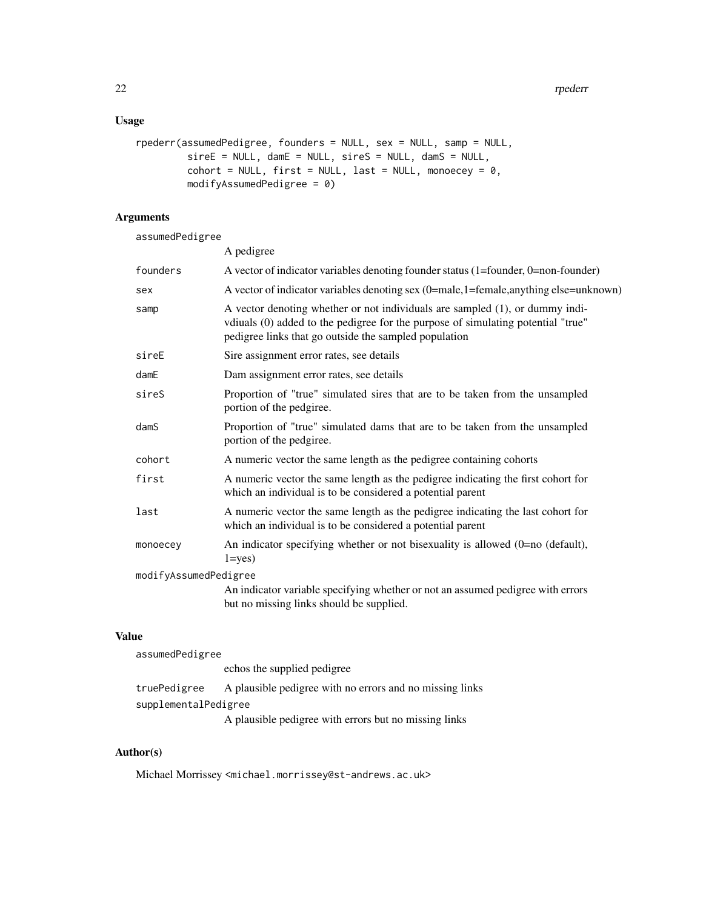# Usage

```
rpederr(assumedPedigree, founders = NULL, sex = NULL, samp = NULL,
           sireE = NULL, damE = NULL, sireS = NULL, damS = NULL,
           \text{cohort} = \text{NULL}, \text{first} = \text{NULL}, \text{last} = \text{NULL}, \text{monoecey} = \emptyset,modifyAssumedPedigree = 0)
```
# Arguments

assumedPedigree

| A pedigree                                                                                                                                                                                                                |
|---------------------------------------------------------------------------------------------------------------------------------------------------------------------------------------------------------------------------|
| A vector of indicator variables denoting founder status (1=founder, 0=non-founder)                                                                                                                                        |
| A vector of indicator variables denoting sex (0=male,1=female,anything else=unknown)                                                                                                                                      |
| A vector denoting whether or not individuals are sampled (1), or dummy indi-<br>vdiuals (0) added to the pedigree for the purpose of simulating potential "true"<br>pedigree links that go outside the sampled population |
| Sire assignment error rates, see details                                                                                                                                                                                  |
| Dam assignment error rates, see details                                                                                                                                                                                   |
| Proportion of "true" simulated sires that are to be taken from the unsampled<br>portion of the pedgiree.                                                                                                                  |
| Proportion of "true" simulated dams that are to be taken from the unsampled<br>portion of the pedgiree.                                                                                                                   |
| A numeric vector the same length as the pedigree containing cohorts                                                                                                                                                       |
| A numeric vector the same length as the pedigree indicating the first cohort for<br>which an individual is to be considered a potential parent                                                                            |
| A numeric vector the same length as the pedigree indicating the last cohort for<br>which an individual is to be considered a potential parent                                                                             |
| An indicator specifying whether or not bisexuality is allowed $(0=no$ (default),<br>$1 = yes$ )                                                                                                                           |
| modifyAssumedPedigree                                                                                                                                                                                                     |
| An indicator variable specifying whether or not an assumed pedigree with errors<br>but no missing links should be supplied.                                                                                               |
|                                                                                                                                                                                                                           |

# Value

| assumedPedigree      |                                                          |
|----------------------|----------------------------------------------------------|
|                      | echos the supplied pedigree                              |
| truePedigree         | A plausible pedigree with no errors and no missing links |
| supplementalPedigree |                                                          |
|                      | A plausible pedigree with errors but no missing links    |

# Author(s)

Michael Morrissey <michael.morrissey@st-andrews.ac.uk>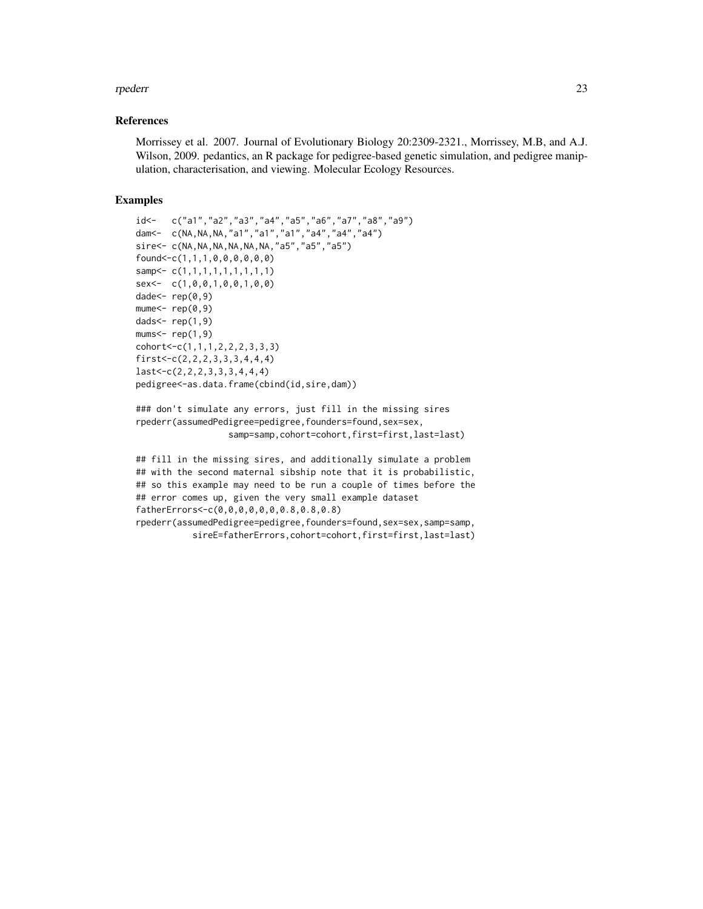#### rpederr 23

# References

Morrissey et al. 2007. Journal of Evolutionary Biology 20:2309-2321., Morrissey, M.B, and A.J. Wilson, 2009. pedantics, an R package for pedigree-based genetic simulation, and pedigree manipulation, characterisation, and viewing. Molecular Ecology Resources.

```
id<- c("a1","a2","a3","a4","a5","a6","a7","a8","a9")
dam<- c(NA,NA,NA,"a1","a1","a1","a4","a4","a4")
sire<- c(NA,NA,NA,NA,NA,NA,"a5","a5","a5")
found<-c(1,1,1,0,0,0,0,0,0)
samp<- c(1,1,1,1,1,1,1,1,1)
sex<- c(1,0,0,1,0,0,1,0,0)
dade<- rep(0,9)
mune<-rep(0,9)dads<- rep(1,9)
mums<- rep(1,9)
cohort<-c(1,1,1,2,2,2,3,3,3)
first<-c(2,2,2,3,3,3,4,4,4)
last<-c(2,2,2,3,3,3,4,4,4)
pedigree<-as.data.frame(cbind(id,sire,dam))
```

```
### don't simulate any errors, just fill in the missing sires
rpederr(assumedPedigree=pedigree,founders=found,sex=sex,
                  samp=samp,cohort=cohort,first=first,last=last)
```

```
## fill in the missing sires, and additionally simulate a problem
## with the second maternal sibship note that it is probabilistic,
## so this example may need to be run a couple of times before the
## error comes up, given the very small example dataset
fatherErrors<-c(0,0,0,0,0,0,0.8,0.8,0.8)
rpederr(assumedPedigree=pedigree,founders=found,sex=sex,samp=samp,
          sireE=fatherErrors,cohort=cohort,first=first,last=last)
```